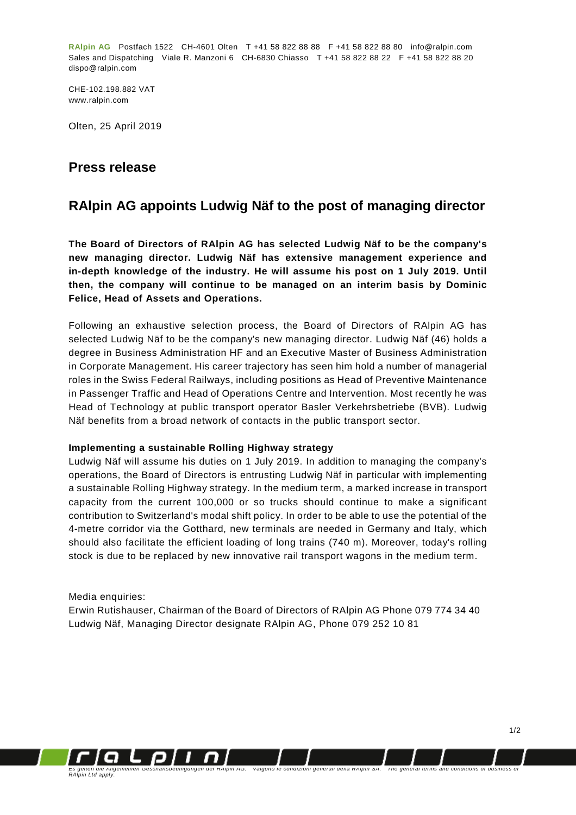**RAlpin AG** Postfach 1522 CH-4601 Olten T +41 58 822 88 88 F +41 58 822 88 80 info@ralpin.com Sales and Dispatching Viale R. Manzoni 6 CH-6830 Chiasso T +41 58 822 88 22 F +41 58 822 88 20 dispo@ralpin.com

CHE-102.198.882 VAT www.ralpin.com

Olten, 25 April 2019

### **Press release**

## **RAlpin AG appoints Ludwig Näf to the post of managing director**

**The Board of Directors of RAlpin AG has selected Ludwig Näf to be the company's new managing director. Ludwig Näf has extensive management experience and in-depth knowledge of the industry. He will assume his post on 1 July 2019. Until then, the company will continue to be managed on an interim basis by Dominic Felice, Head of Assets and Operations.**

Following an exhaustive selection process, the Board of Directors of RAlpin AG has selected Ludwig Näf to be the company's new managing director. Ludwig Näf (46) holds a degree in Business Administration HF and an Executive Master of Business Administration in Corporate Management. His career trajectory has seen him hold a number of managerial roles in the Swiss Federal Railways, including positions as Head of Preventive Maintenance in Passenger Traffic and Head of Operations Centre and Intervention. Most recently he was Head of Technology at public transport operator Basler Verkehrsbetriebe (BVB). Ludwig Näf benefits from a broad network of contacts in the public transport sector.

#### **Implementing a sustainable Rolling Highway strategy**

Ludwig Näf will assume his duties on 1 July 2019. In addition to managing the company's operations, the Board of Directors is entrusting Ludwig Näf in particular with implementing a sustainable Rolling Highway strategy. In the medium term, a marked increase in transport capacity from the current 100,000 or so trucks should continue to make a significant contribution to Switzerland's modal shift policy. In order to be able to use the potential of the 4-metre corridor via the Gotthard, new terminals are needed in Germany and Italy, which should also facilitate the efficient loading of long trains (740 m). Moreover, today's rolling stock is due to be replaced by new innovative rail transport wagons in the medium term.

#### Media enquiries:

Erwin Rutishauser, Chairman of the Board of Directors of RAlpin AG Phone 079 774 34 40 Ludwig Näf, Managing Director designate RAlpin AG, Phone 079 252 10 81